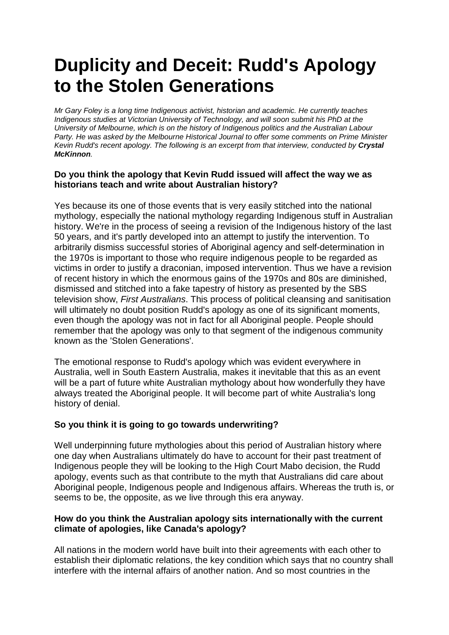# **Duplicity and Deceit: Rudd's Apology to the Stolen Generations**

*Mr Gary Foley is a long time Indigenous activist, historian and academic. He currently teaches Indigenous studies at Victorian University of Technology, and will soon submit his PhD at the University of Melbourne, which is on the history of Indigenous politics and the Australian Labour Party. He was asked by the Melbourne Historical Journal to offer some comments on Prime Minister Kevin Rudd's recent apology. The following is an excerpt from that interview, conducted by Crystal McKinnon.*

#### **Do you think the apology that Kevin Rudd issued will affect the way we as historians teach and write about Australian history?**

Yes because its one of those events that is very easily stitched into the national mythology, especially the national mythology regarding Indigenous stuff in Australian history. We're in the process of seeing a revision of the Indigenous history of the last 50 years, and it's partly developed into an attempt to justify the intervention. To arbitrarily dismiss successful stories of Aboriginal agency and self-determination in the 1970s is important to those who require indigenous people to be regarded as victims in order to justify a draconian, imposed intervention. Thus we have a revision of recent history in which the enormous gains of the 1970s and 80s are diminished, dismissed and stitched into a fake tapestry of history as presented by the SBS television show, *First Australians*. This process of political cleansing and sanitisation will ultimately no doubt position Rudd's apology as one of its significant moments, even though the apology was not in fact for all Aboriginal people. People should remember that the apology was only to that segment of the indigenous community known as the 'Stolen Generations'.

The emotional response to Rudd's apology which was evident everywhere in Australia, well in South Eastern Australia, makes it inevitable that this as an event will be a part of future white Australian mythology about how wonderfully they have always treated the Aboriginal people. It will become part of white Australia's long history of denial.

### **So you think it is going to go towards underwriting?**

Well underpinning future mythologies about this period of Australian history where one day when Australians ultimately do have to account for their past treatment of Indigenous people they will be looking to the High Court Mabo decision, the Rudd apology, events such as that contribute to the myth that Australians did care about Aboriginal people, Indigenous people and Indigenous affairs. Whereas the truth is, or seems to be, the opposite, as we live through this era anyway.

### **How do you think the Australian apology sits internationally with the current climate of apologies, like Canada's apology?**

All nations in the modern world have built into their agreements with each other to establish their diplomatic relations, the key condition which says that no country shall interfere with the internal affairs of another nation. And so most countries in the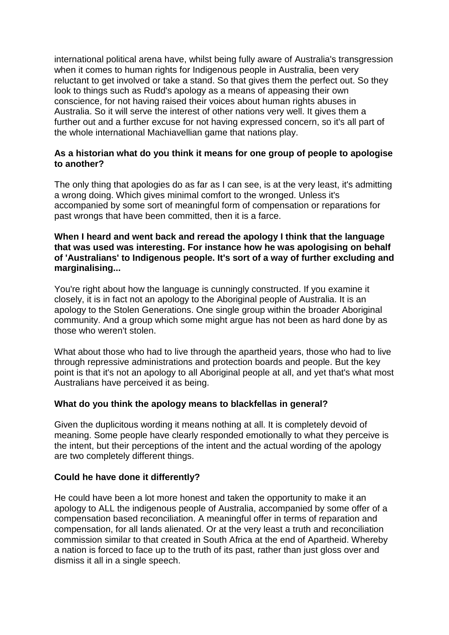international political arena have, whilst being fully aware of Australia's transgression when it comes to human rights for Indigenous people in Australia, been very reluctant to get involved or take a stand. So that gives them the perfect out. So they look to things such as Rudd's apology as a means of appeasing their own conscience, for not having raised their voices about human rights abuses in Australia. So it will serve the interest of other nations very well. It gives them a further out and a further excuse for not having expressed concern, so it's all part of the whole international Machiavellian game that nations play.

### **As a historian what do you think it means for one group of people to apologise to another?**

The only thing that apologies do as far as I can see, is at the very least, it's admitting a wrong doing. Which gives minimal comfort to the wronged. Unless it's accompanied by some sort of meaningful form of compensation or reparations for past wrongs that have been committed, then it is a farce.

#### **When I heard and went back and reread the apology I think that the language that was used was interesting. For instance how he was apologising on behalf of 'Australians' to Indigenous people. It's sort of a way of further excluding and marginalising...**

You're right about how the language is cunningly constructed. If you examine it closely, it is in fact not an apology to the Aboriginal people of Australia. It is an apology to the Stolen Generations. One single group within the broader Aboriginal community. And a group which some might argue has not been as hard done by as those who weren't stolen.

What about those who had to live through the apartheid years, those who had to live through repressive administrations and protection boards and people. But the key point is that it's not an apology to all Aboriginal people at all, and yet that's what most Australians have perceived it as being.

### **What do you think the apology means to blackfellas in general?**

Given the duplicitous wording it means nothing at all. It is completely devoid of meaning. Some people have clearly responded emotionally to what they perceive is the intent, but their perceptions of the intent and the actual wording of the apology are two completely different things.

### **Could he have done it differently?**

He could have been a lot more honest and taken the opportunity to make it an apology to ALL the indigenous people of Australia, accompanied by some offer of a compensation based reconciliation. A meaningful offer in terms of reparation and compensation, for all lands alienated. Or at the very least a truth and reconciliation commission similar to that created in South Africa at the end of Apartheid. Whereby a nation is forced to face up to the truth of its past, rather than just gloss over and dismiss it all in a single speech.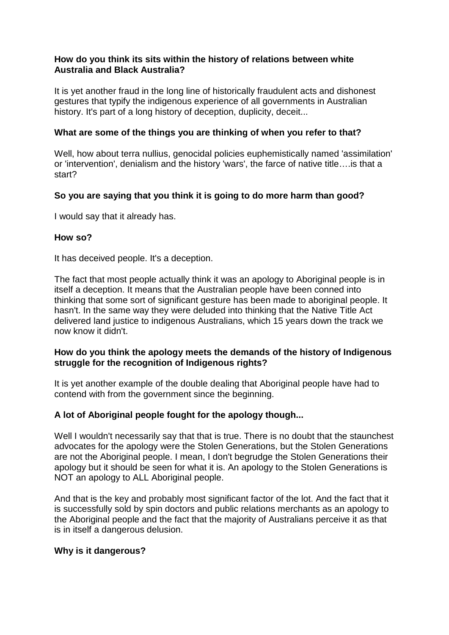### **How do you think its sits within the history of relations between white Australia and Black Australia?**

It is yet another fraud in the long line of historically fraudulent acts and dishonest gestures that typify the indigenous experience of all governments in Australian history. It's part of a long history of deception, duplicity, deceit...

## **What are some of the things you are thinking of when you refer to that?**

Well, how about terra nullius, genocidal policies euphemistically named 'assimilation' or 'intervention', denialism and the history 'wars', the farce of native title….is that a start?

## **So you are saying that you think it is going to do more harm than good?**

I would say that it already has.

## **How so?**

It has deceived people. It's a deception.

The fact that most people actually think it was an apology to Aboriginal people is in itself a deception. It means that the Australian people have been conned into thinking that some sort of significant gesture has been made to aboriginal people. It hasn't. In the same way they were deluded into thinking that the Native Title Act delivered land justice to indigenous Australians, which 15 years down the track we now know it didn't.

### **How do you think the apology meets the demands of the history of Indigenous struggle for the recognition of Indigenous rights?**

It is yet another example of the double dealing that Aboriginal people have had to contend with from the government since the beginning.

### **A lot of Aboriginal people fought for the apology though...**

Well I wouldn't necessarily say that that is true. There is no doubt that the staunchest advocates for the apology were the Stolen Generations, but the Stolen Generations are not the Aboriginal people. I mean, I don't begrudge the Stolen Generations their apology but it should be seen for what it is. An apology to the Stolen Generations is NOT an apology to ALL Aboriginal people.

And that is the key and probably most significant factor of the lot. And the fact that it is successfully sold by spin doctors and public relations merchants as an apology to the Aboriginal people and the fact that the majority of Australians perceive it as that is in itself a dangerous delusion.

### **Why is it dangerous?**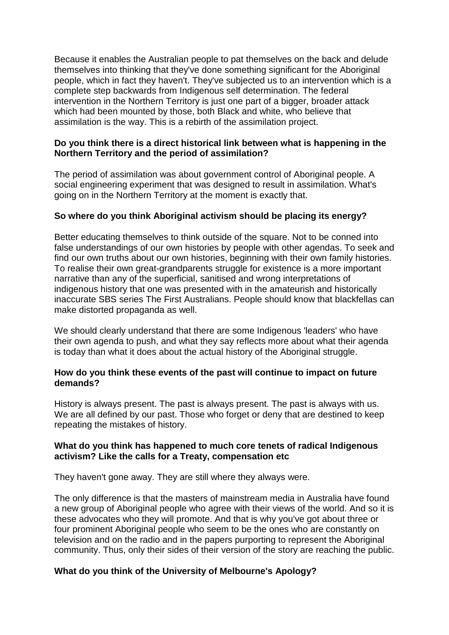Because it enables the Australian people to pat themselves on the back and delude themselves into thinking that they've done something significant for the Aboriginal people, which in fact they haven't. They've subjected us to an intervention which is a complete step backwards from Indigenous self determination. The federal intervention in the Northern Territory is just one part of a bigger, broader attack which had been mounted by those, both Black and white, who believe that assimilation is the way. This is a rebirth of the assimilation project.

## **Do you think there is a direct historical link between what is happening in the Northern Territory and the period of assimilation?**

The period of assimilation was about government control of Aboriginal people. A social engineering experiment that was designed to result in assimilation. What's going on in the Northern Territory at the moment is exactly that.

## **So where do you think Aboriginal activism should be placing its energy?**

Better educating themselves to think outside of the square. Not to be conned into false understandings of our own histories by people with other agendas. To seek and find our own truths about our own histories, beginning with their own family histories. To realise their own great-grandparents struggle for existence is a more important narrative than any of the superficial, sanitised and wrong interpretations of indigenous history that one was presented with in the amateurish and historically inaccurate SBS series The First Australians. People should know that blackfellas can make distorted propaganda as well.

We should clearly understand that there are some Indigenous 'leaders' who have their own agenda to push, and what they say reflects more about what their agenda is today than what it does about the actual history of the Aboriginal struggle.

### **How do you think these events of the past will continue to impact on future demands?**

History is always present. The past is always present. The past is always with us. We are all defined by our past. Those who forget or deny that are destined to keep repeating the mistakes of history.

### **What do you think has happened to much core tenets of radical Indigenous activism? Like the calls for a Treaty, compensation etc**

They haven't gone away. They are still where they always were.

The only difference is that the masters of mainstream media in Australia have found a new group of Aboriginal people who agree with their views of the world. And so it is these advocates who they will promote. And that is why you've got about three or four prominent Aboriginal people who seem to be the ones who are constantly on television and on the radio and in the papers purporting to represent the Aboriginal community. Thus, only their sides of their version of the story are reaching the public.

## **What do you think of the University of Melbourne's Apology?**